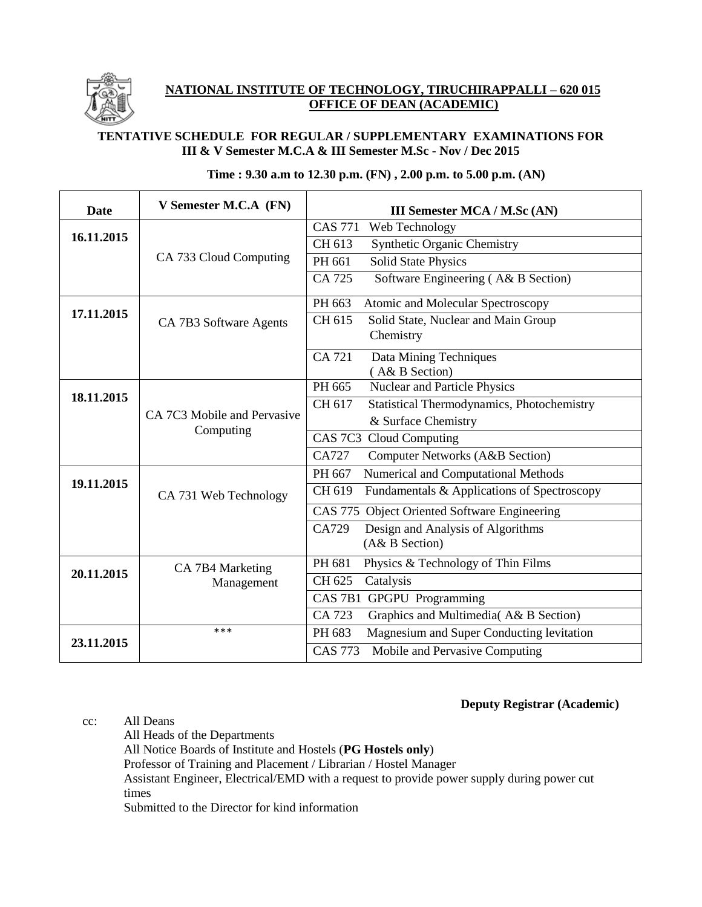

# **NATIONAL INSTITUTE OF TECHNOLOGY, TIRUCHIRAPPALLI – 620 015 OFFICE OF DEAN (ACADEMIC)**

# **TENTATIVE SCHEDULE FOR REGULAR / SUPPLEMENTARY EXAMINATIONS FOR III & V Semester M.C.A & III Semester M.Sc - Nov / Dec 2015**

| <b>Date</b> | V Semester M.C.A (FN)          | <b>III Semester MCA / M.Sc (AN)</b>                          |
|-------------|--------------------------------|--------------------------------------------------------------|
|             |                                | <b>CAS 771</b><br>Web Technology                             |
| 16.11.2015  |                                | <b>Synthetic Organic Chemistry</b><br>CH 613                 |
|             | CA 733 Cloud Computing         | <b>Solid State Physics</b><br>PH 661                         |
|             |                                | Software Engineering (A& B Section)<br>CA 725                |
|             |                                | PH 663<br>Atomic and Molecular Spectroscopy                  |
| 17.11.2015  | CA 7B3 Software Agents         | Solid State, Nuclear and Main Group<br>CH 615<br>Chemistry   |
|             |                                | CA 721<br>Data Mining Techniques                             |
|             |                                | (A& B Section)                                               |
| 18.11.2015  |                                | PH 665<br><b>Nuclear and Particle Physics</b>                |
|             |                                | <b>Statistical Thermodynamics, Photochemistry</b><br>CH 617  |
|             | CA 7C3 Mobile and Pervasive    | & Surface Chemistry                                          |
|             | Computing                      | CAS 7C3 Cloud Computing                                      |
|             |                                | Computer Networks (A&B Section)<br>CA727                     |
|             |                                | Numerical and Computational Methods<br>PH 667                |
| 19.11.2015  | CA 731 Web Technology          | Fundamentals & Applications of Spectroscopy<br>CH 619        |
|             |                                | CAS 775 Object Oriented Software Engineering                 |
|             |                                | Design and Analysis of Algorithms<br>CA729<br>(A& B Section) |
|             | CA 7B4 Marketing<br>Management | Physics & Technology of Thin Films<br>PH 681                 |
| 20.11.2015  |                                | CH 625<br>Catalysis                                          |
|             |                                | CAS 7B1 GPGPU Programming                                    |
|             |                                | Graphics and Multimedia (A& B Section)<br>CA 723             |
| 23.11.2015  | ***                            | Magnesium and Super Conducting levitation<br>PH 683          |
|             |                                | <b>CAS 773</b><br>Mobile and Pervasive Computing             |

#### **Time : 9.30 a.m to 12.30 p.m. (FN) , 2.00 p.m. to 5.00 p.m. (AN)**

**Deputy Registrar (Academic)**

cc: All Deans All Heads of the Departments All Notice Boards of Institute and Hostels (**PG Hostels only**) Professor of Training and Placement / Librarian / Hostel Manager Assistant Engineer, Electrical/EMD with a request to provide power supply during power cut times Submitted to the Director for kind information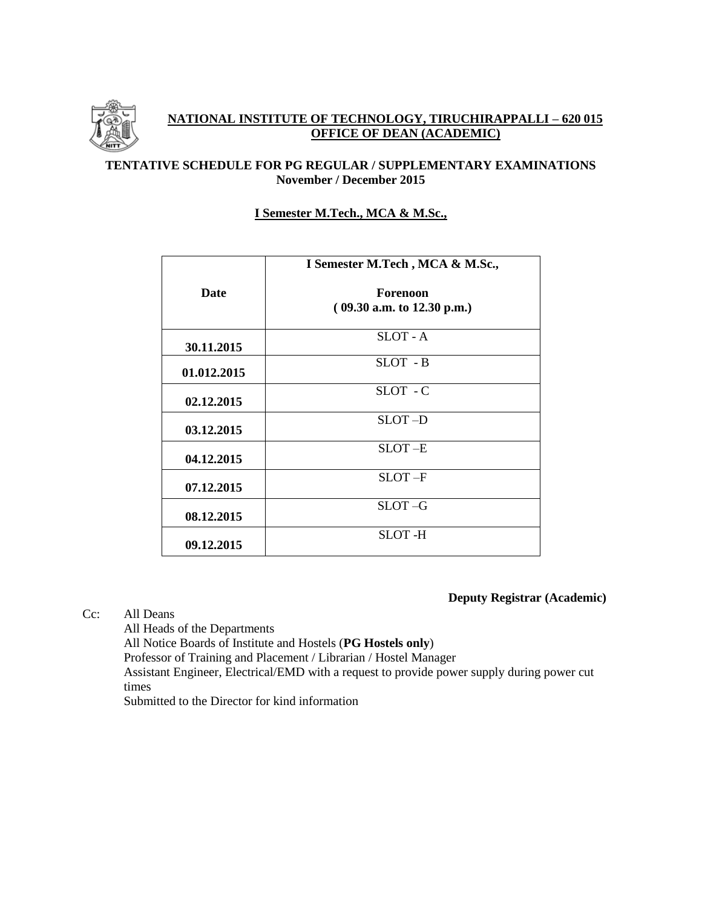

# **NATIONAL INSTITUTE OF TECHNOLOGY, TIRUCHIRAPPALLI – 620 015 OFFICE OF DEAN (ACADEMIC)**

# **TENTATIVE SCHEDULE FOR PG REGULAR / SUPPLEMENTARY EXAMINATIONS November / December 2015**

# **I Semester M.Tech., MCA & M.Sc.,**

|             | I Semester M.Tech, MCA & M.Sc.,        |  |
|-------------|----------------------------------------|--|
| <b>Date</b> | Forenoon<br>(09.30 a.m. to 12.30 p.m.) |  |
| 30.11.2015  | $SLOT - A$                             |  |
| 01.012.2015 | $SLOT - B$                             |  |
| 02.12.2015  | $SLOT - C$                             |  |
| 03.12.2015  | SLOT-D                                 |  |
| 04.12.2015  | SLOT-E                                 |  |
| 07.12.2015  | $SLOT - F$                             |  |
| 08.12.2015  | SLOT-G                                 |  |
| 09.12.2015  | <b>SLOT-H</b>                          |  |

#### **Deputy Registrar (Academic)**

Cc: All Deans All Heads of the Departments All Notice Boards of Institute and Hostels (**PG Hostels only**) Professor of Training and Placement / Librarian / Hostel Manager Assistant Engineer, Electrical/EMD with a request to provide power supply during power cut

times

Submitted to the Director for kind information